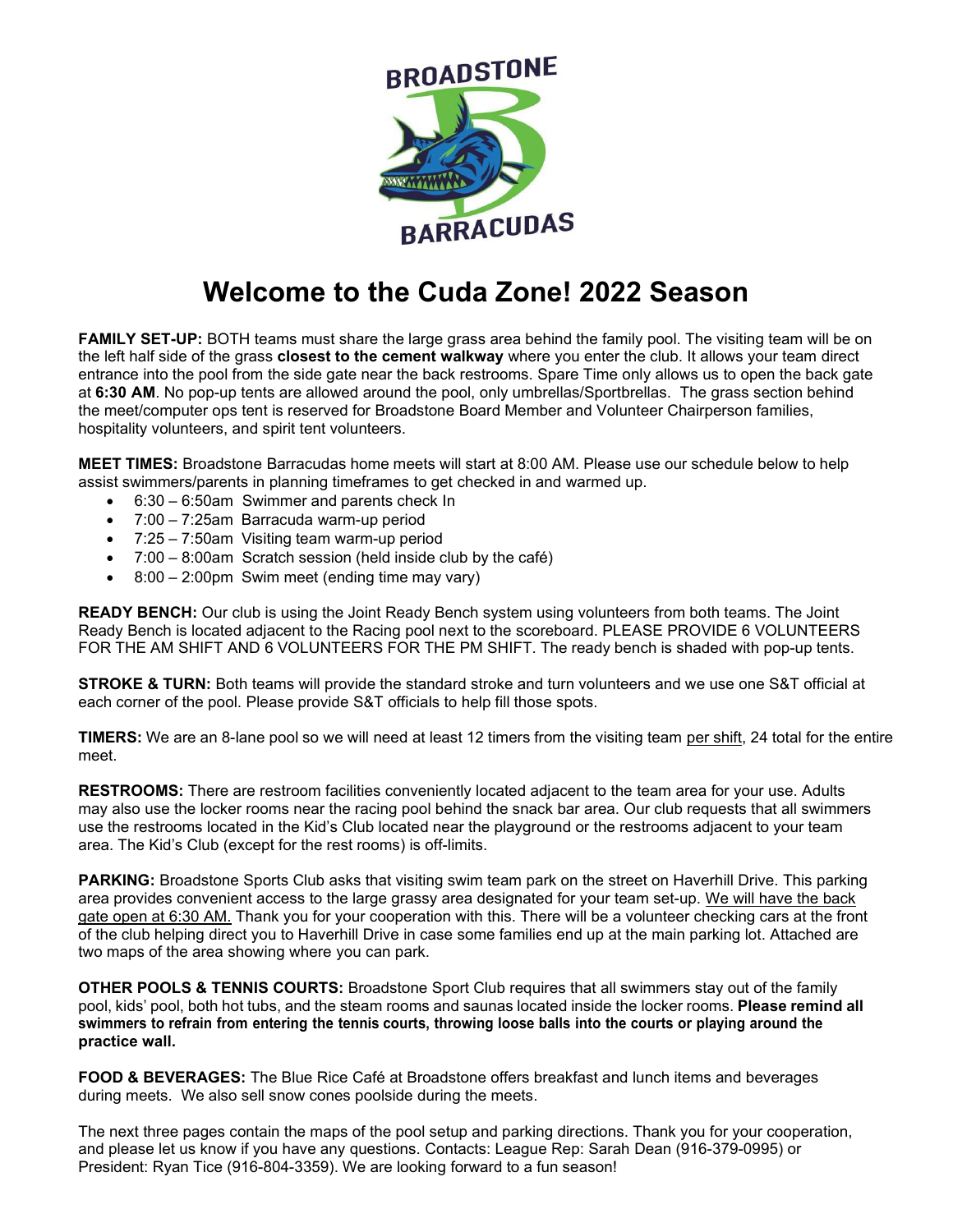

## **Welcome to the Cuda Zone! 2022 Season**

**FAMILY SET-UP:** BOTH teams must share the large grass area behind the family pool. The visiting team will be on the left half side of the grass **closest to the cement walkway** where you enter the club. It allows your team direct entrance into the pool from the side gate near the back restrooms. Spare Time only allows us to open the back gate at **6:30 AM**. No pop-up tents are allowed around the pool, only umbrellas/Sportbrellas. The grass section behind the meet/computer ops tent is reserved for Broadstone Board Member and Volunteer Chairperson families, hospitality volunteers, and spirit tent volunteers.

**MEET TIMES:** Broadstone Barracudas home meets will start at 8:00 AM. Please use our schedule below to help assist swimmers/parents in planning timeframes to get checked in and warmed up.

- 6:30 6:50am Swimmer and parents check In
- 7:00 7:25am Barracuda warm-up period
- 7:25 7:50am Visiting team warm-up period
- 7:00 8:00am Scratch session (held inside club by the café)
- 8:00 2:00pm Swim meet (ending time may vary)

**READY BENCH:** Our club is using the Joint Ready Bench system using volunteers from both teams. The Joint Ready Bench is located adjacent to the Racing pool next to the scoreboard. PLEASE PROVIDE 6 VOLUNTEERS FOR THE AM SHIFT AND 6 VOLUNTEERS FOR THE PM SHIFT. The ready bench is shaded with pop-up tents.

**STROKE & TURN:** Both teams will provide the standard stroke and turn volunteers and we use one S&T official at each corner of the pool. Please provide S&T officials to help fill those spots.

**TIMERS:** We are an 8-lane pool so we will need at least 12 timers from the visiting team per shift, 24 total for the entire meet.

**RESTROOMS:** There are restroom facilities conveniently located adjacent to the team area for your use. Adults may also use the locker rooms near the racing pool behind the snack bar area. Our club requests that all swimmers use the restrooms located in the Kid's Club located near the playground or the restrooms adjacent to your team area. The Kid's Club (except for the rest rooms) is off-limits.

**PARKING:** Broadstone Sports Club asks that visiting swim team park on the street on Haverhill Drive. This parking area provides convenient access to the large grassy area designated for your team set-up. We will have the back gate open at 6:30 AM. Thank you for your cooperation with this. There will be a volunteer checking cars at the front of the club helping direct you to Haverhill Drive in case some families end up at the main parking lot. Attached are two maps of the area showing where you can park.

**OTHER POOLS & TENNIS COURTS:** Broadstone Sport Club requires that all swimmers stay out of the family pool, kids' pool, both hot tubs, and the steam rooms and saunas located inside the locker rooms. **Please remind all** swimmers to refrain from entering the tennis courts, throwing loose balls into the courts or playing around the **practice wall.**

**FOOD & BEVERAGES:** The Blue Rice Café at Broadstone offers breakfast and lunch items and beverages during meets. We also sell snow cones poolside during the meets.

The next three pages contain the maps of the pool setup and parking directions. Thank you for your cooperation, and please let us know if you have any questions. Contacts: League Rep: Sarah Dean (916-379-0995) or President: Ryan Tice (916-804-3359). We are looking forward to a fun season!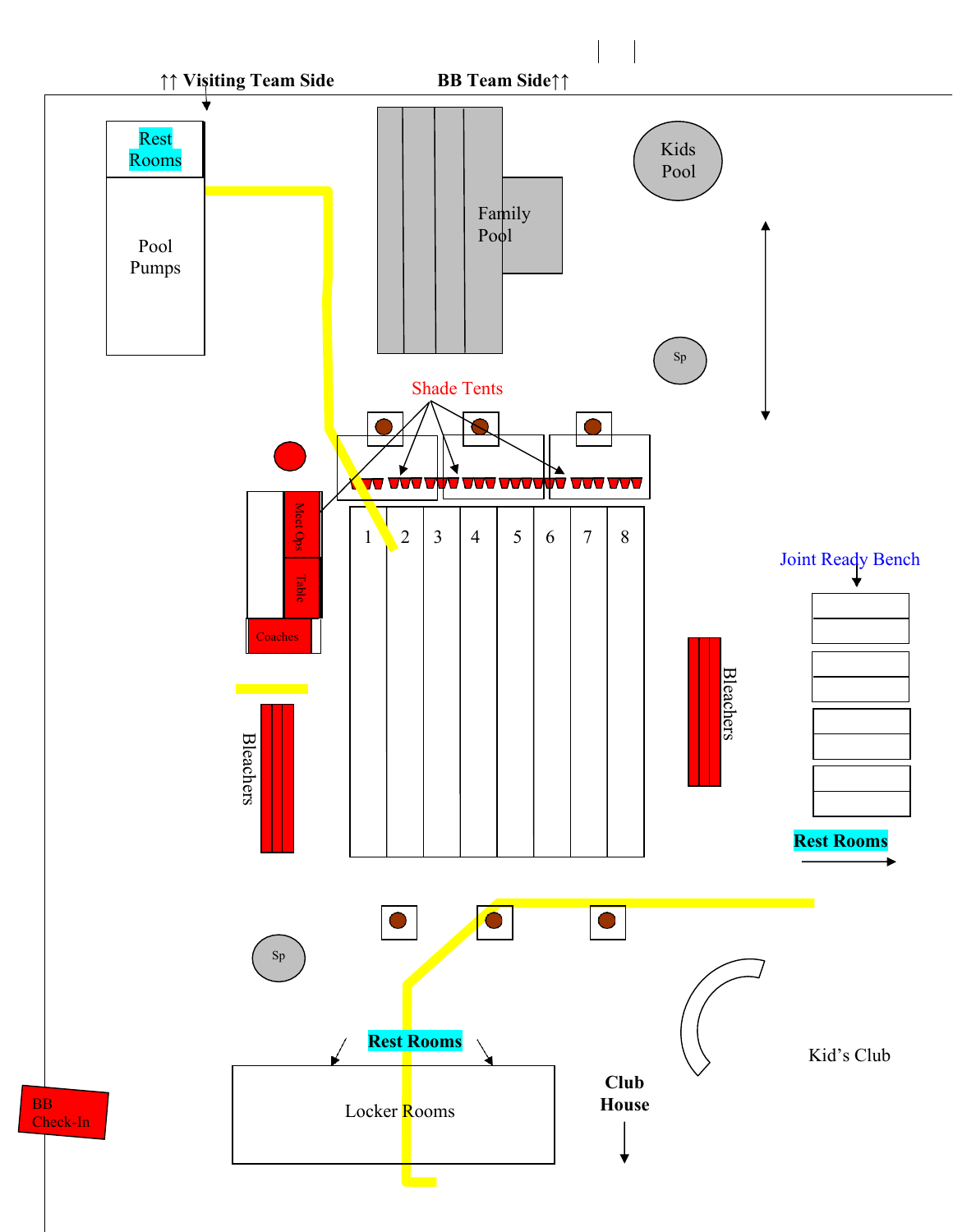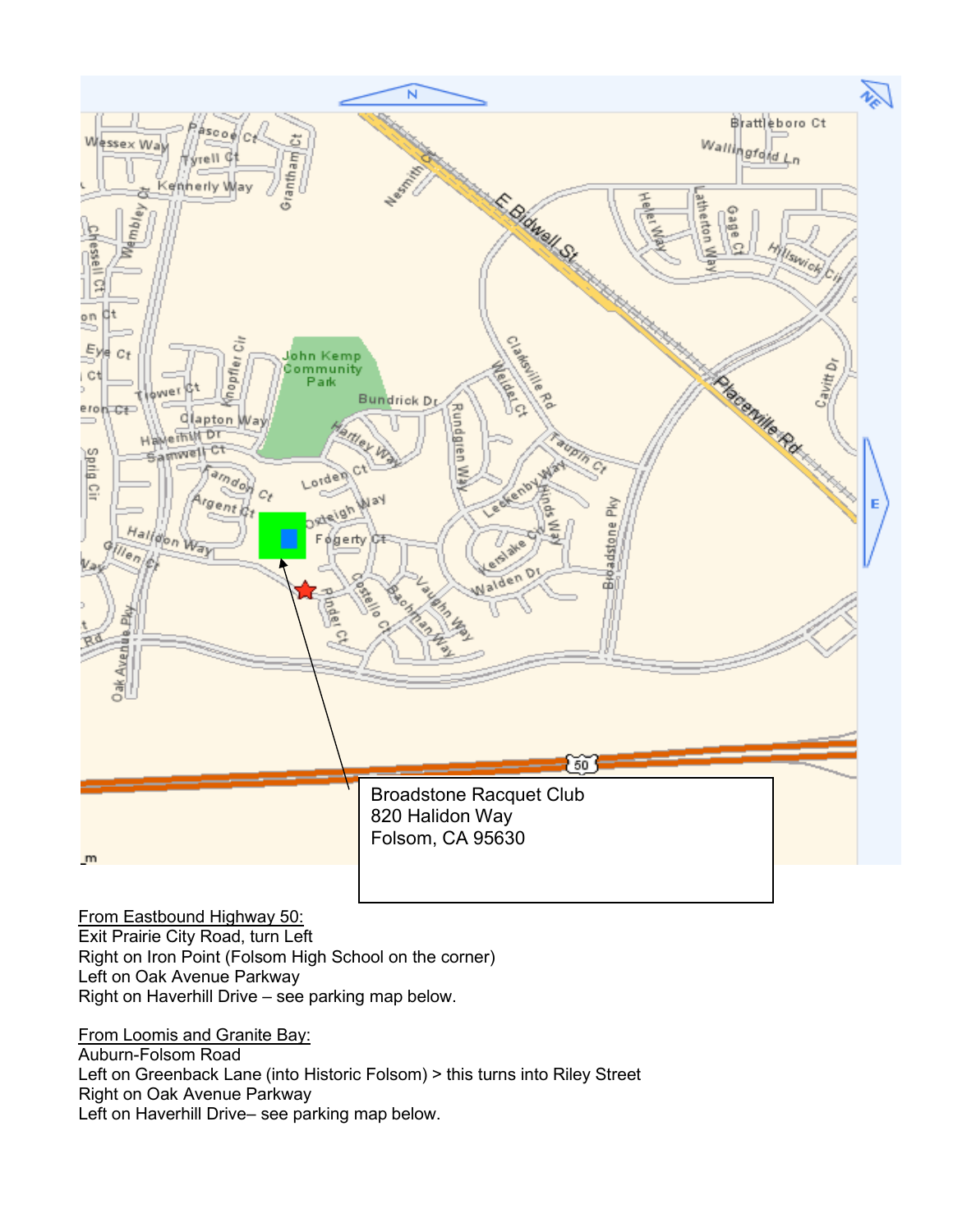

From Eastbound Highway 50:

Exit Prairie City Road, turn Left Right on Iron Point (Folsom High School on the corner) Left on Oak Avenue Parkway Right on Haverhill Drive – see parking map below.

From Loomis and Granite Bay: Auburn-Folsom Road Left on Greenback Lane (into Historic Folsom) > this turns into Riley Street Right on Oak Avenue Parkway Left on Haverhill Drive– see parking map below.